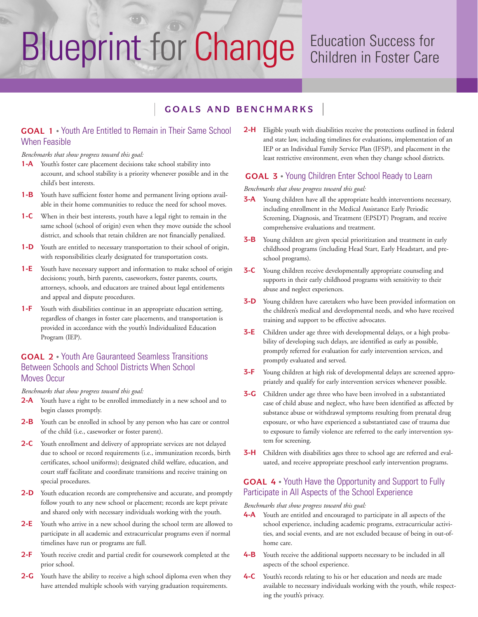# Blueprint for Change Education Success for

## Children in Foster Care

## $G$  **COALS AND BENCHMARKS**

## **GOAL 1** • Youth Are Entitled to Remain in Their Same School When Feasible

#### *Benchmarks that show progress toward this goal:*

- **1-A** Youth's foster care placement decisions take school stability into account, and school stability is a priority whenever possible and in the child's best interests.
- **1-B** Youth have sufficient foster home and permanent living options available in their home communities to reduce the need for school moves.
- **1-C** When in their best interests, youth have a legal right to remain in the same school (school of origin) even when they move outside the school district, and schools that retain children are not financially penalized.
- **1-D** Youth are entitled to necessary transportation to their school of origin, with responsibilities clearly designated for transportation costs.
- **1-E** Youth have necessary support and information to make school of origin decisions; youth, birth parents, caseworkers, foster parents, courts, attorneys, schools, and educators are trained about legal entitlements and appeal and dispute procedures.
- **1-F** Youth with disabilities continue in an appropriate education setting, regardless of changes in foster care placements, and transportation is provided in accordance with the youth's Individualized Education Program (IEP).

## **GOAL 2** • Youth Are Gauranteed Seamless Transitions Between Schools and School Districts When School Moves Occur

*Benchmarks that show progress toward this goal:*

- **2-A** Youth have a right to be enrolled immediately in a new school and to begin classes promptly.
- **2-B** Youth can be enrolled in school by any person who has care or control of the child (i.e., caseworker or foster parent).
- **2-C** Youth enrollment and delivery of appropriate services are not delayed due to school or record requirements (i.e., immunization records, birth certificates, school uniforms); designated child welfare, education, and court staff facilitate and coordinate transitions and receive training on special procedures.
- **2-D** Youth education records are comprehensive and accurate, and promptly follow youth to any new school or placement; records are kept private and shared only with necessary individuals working with the youth.
- **2-E** Youth who arrive in a new school during the school term are allowed to participate in all academic and extracurricular programs even if normal timelines have run or programs are full.
- **2-F** Youth receive credit and partial credit for coursework completed at the prior school.
- **2-G** Youth have the ability to receive a high school diploma even when they have attended multiple schools with varying graduation requirements.

**2-H** Eligible youth with disabilities receive the protections outlined in federal and state law, including timelines for evaluations, implementation of an IEP or an Individual Family Service Plan (IFSP), and placement in the least restrictive environment, even when they change school districts.

## **GOAL 3** • Young Children Enter School Ready to Learn

#### *Benchmarks that show progress toward this goal:*

- **3-A** Young children have all the appropriate health interventions necessary, including enrollment in the Medical Assistance Early Periodic Screening, Diagnosis, and Treatment (EPSDT) Program, and receive comprehensive evaluations and treatment.
- **3-B** Young children are given special prioritization and treatment in early childhood programs (including Head Start, Early Headstart, and preschool programs).
- **3-C** Young children receive developmentally appropriate counseling and supports in their early childhood programs with sensitivity to their abuse and neglect experiences.
- **3-D** Young children have caretakers who have been provided information on the children's medical and developmental needs, and who have received training and support to be effective advocates.
- **3-E** Children under age three with developmental delays, or a high probability of developing such delays, are identified as early as possible, promptly referred for evaluation for early intervention services, and promptly evaluated and served.
- **3-F** Young children at high risk of developmental delays are screened appropriately and qualify for early intervention services whenever possible.
- **3-G** Children under age three who have been involved in a substantiated case of child abuse and neglect, who have been identified as affected by substance abuse or withdrawal symptoms resulting from prenatal drug exposure, or who have experienced a substantiated case of trauma due to exposure to family violence are referred to the early intervention system for screening.
- **3-H** Children with disabilities ages three to school age are referred and evaluated, and receive appropriate preschool early intervention programs.

## **GOAL 4** • Youth Have the Opportunity and Support to Fully Participate in All Aspects of the School Experience

*Benchmarks that show progress toward this goal:*

- **4-A** Youth are entitled and encouraged to participate in all aspects of the school experience, including academic programs, extracurricular activities, and social events, and are not excluded because of being in out-ofhome care.
- **4-B** Youth receive the additional supports necessary to be included in all aspects of the school experience.
- **4-C** Youth's records relating to his or her education and needs are made available to necessary individuals working with the youth, while respecting the youth's privacy.